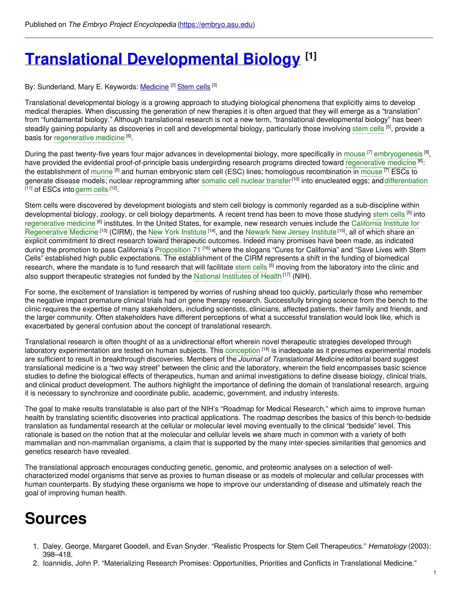# **Translational [Developmental](https://embryo.asu.edu/pages/translational-developmental-biology) Biology [1]**

By: Sunderland, Mary E. Keywords: <u>[Medicine](https://embryo.asu.edu/keywords/medicine)</u> [2] [Stem](https://embryo.asu.edu/keywords/stem-cells) cells [3]

Translational developmental biology is a growing approach to studying biological phenomena that explicitly aims to develop medical therapies. When discussing the generation of new therapies it is often argued that they will emerge as a "translation" from "fundamental biology." Although translational research is not a new term, "translational developmental biology" has been steadily gaining popularity as discoveries in cell and developmental biology, particularly those involving [stem](https://embryo.asu.edu/search?text=stem%20cells) cells <sup>[5]</sup>, provide a basis for [regenerative](https://embryo.asu.edu/search?text=regenerative%20medicine) medicine [6].

During the past twenty-five years four major advances in developmental biology, more specifically in [mouse](https://embryo.asu.edu/search?text=mouse) <sup>[7]</sup> [embryogenesis](https://embryo.asu.edu/search?text=embryogenesis) <sup>[8]</sup>, have provided the evidential proof-of-principle basis undergirding research programs directed toward [regenerative](https://embryo.asu.edu/search?text=regenerative%20medicine) medicine <sup>[6]</sup>: the establishment of [murine](https://embryo.asu.edu/search?text=murine) <sup>[9]</sup> and human embryonic stem cell (ESC) lines; homologous recombination in [mouse](https://embryo.asu.edu/search?text=mouse) <sup>[7]</sup> ESCs to generate disease models; nuclear reprogramming after [somatic](https://embryo.asu.edu/search?text=somatic%20cell%20nuclear%20transfer) cell nuclear transfer<sup>[10]</sup> into enucleated eggs; and [differentiation](https://embryo.asu.edu/search?text=differentiation) <sup>[11]</sup> of ESCs into [germ](https://embryo.asu.edu/search?text=germ%20cells) cells <sup>[12]</sup>.

Stem cells were discovered by development biologists and stem cell biology is commonly regarded as a sub-discipline within developmental biology, zoology, or cell biology departments. A recent trend has been to move those studying [stem](https://embryo.asu.edu/search?text=stem%20cells) cells <sup>[5]</sup> into [regenerative](https://embryo.asu.edu/search?text=regenerative%20medicine) medicine <sup>[6]</sup> institutes. In the United States, for example, new research venues include the California Institute for [Regenerative](https://embryo.asu.edu/search?text=California%20Institute%20for%20Regenerative%20Medicine) Medicine <sup>[13]</sup> (CIRM), the New York [Institute](https://embryo.asu.edu/search?text=New%20York%20Institute) <sup>[14]</sup>, and the [Newark](https://embryo.asu.edu/search?text=Newark%20New%20Jersey%20Institute) New Jersey Institute <sup>[15]</sup>, all of which share an explicit commitment to direct research toward therapeutic outcomes. Indeed many promises have been made, as indicated during the promotion to pass California's [Proposition](https://embryo.asu.edu/search?text=Proposition%2071) 71 <sup>[16]</sup> where the slogans "Cures for California" and "Save Lives with Stem Cells" established high public expectations. The establishment of the CIRM represents a shift in the funding of biomedical research, where the mandate is to fund research that will facilitate [stem](https://embryo.asu.edu/search?text=stem%20cells) cells <sup>[5]</sup> moving from the laboratory into the clinic and also support therapeutic strategies not funded by the National [Institutes](https://embryo.asu.edu/search?text=National%20Institutes%20of%20Health) of Health<sup>[17]</sup> (NIH).

For some, the excitement of translation is tempered by worries of rushing ahead too quickly, particularly those who remember the negative impact premature clinical trials had on gene therapy research. Successfully bringing science from the bench to the clinic requires the expertise of many stakeholders, including scientists, clinicians, affected patients, their family and friends, and the larger community. Often stakeholders have different perceptions of what a successful translation would look like, which is exacerbated by general confusion about the concept of translational research.

Translational research is often thought of as a unidirectional effort wherein novel therapeutic strategies developed through laboratory experimentation are tested on human subjects. This [conception](https://embryo.asu.edu/search?text=conception) <sup>[18]</sup> is inadequate as it presumes experimental models are sufficient to result in breakthrough discoveries. Members of the *Journal of Translational Medicine* editorial board suggest translational medicine is a "two way street" between the clinic and the laboratory, wherein the field encompasses basic science studies to define the biological effects of therapeutics, human and animal investigations to define disease biology, clinical trials, and clinical product development. The authors highlight the importance of defining the domain of translational research, arguing it is necessary to synchronize and coordinate public, academic, government, and industry interests.

The goal to make results translatable is also part of the NIH's "Roadmap for Medical Research," which aims to improve human health by translating scientific discoveries into practical applications. The roadmap describes the basics of this bench-to-bedside translation as fundamental research at the cellular or molecular level moving eventually to the clinical "bedside" level. This rationale is based on the notion that at the molecular and cellular levels we share much in common with a variety of both mammalian and non-mammalian organisms, a claim that is supported by the many inter-species similarities that genomics and genetics research have revealed.

The translational approach encourages conducting genetic, genomic, and proteomic analyses on a selection of wellcharacterized model organisms that serve as proxies to human disease or as models of molecular and cellular processes with human counterparts. By studying these organisms we hope to improve our understanding of disease and ultimately reach the goal of improving human health.

# **Sources**

- 1. Daley, George, Margaret Goodell, and Evan Snyder. "Realistic Prospects for Stem Cell Therapeutics." *Hematology* (2003): 398–418.
- 2. Ioannidis, John P. "Materializing Research Promises: Opportunities, Priorities and Conflicts in Translational Medicine."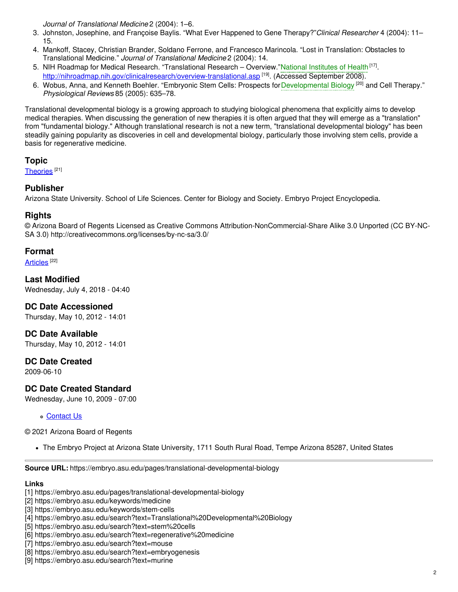*Journal of Translational Medicine* 2 (2004): 1–6.

- 3. Johnston, Josephine, and Françoise Baylis. "What Ever Happened to Gene Therapy?"*Clinical Researcher* 4 (2004): 11– 15.
- 4. Mankoff, Stacey, Christian Brander, Soldano Ferrone, and Francesco Marincola. "Lost in Translation: Obstacles to Translational Medicine." *Journal of Translational Medicine* 2 (2004): 14.
- 5. NIH Roadmap for Medical Research. "Translational Research Overview."National [Institutes](https://embryo.asu.edu/search?text=National%20Institutes%20of%20Health) of Health<sup>[17]</sup>. <http://nihroadmap.nih.gov/clinicalresearch/overview-translational.asp><sup>[19]</sup>. (Accessed September 2008).
- 6. Wobus, Anna, and Kenneth Boehler. "Embryonic Stem Cells: Prospects for [Developmental](https://embryo.asu.edu/search?text=Developmental%20Biology) Biology <sup>[20]</sup> and Cell Therapy." *Physiological Reviews* 85 (2005): 635–78.

Translational developmental biology is a growing approach to studying biological phenomena that explicitly aims to develop medical therapies. When discussing the generation of new therapies it is often argued that they will emerge as a "translation" from "fundamental biology." Although translational research is not a new term, "translational developmental biology" has been steadily gaining popularity as discoveries in cell and developmental biology, particularly those involving stem cells, provide a basis for regenerative medicine.

#### **Topic**

[Theories](https://embryo.asu.edu/topics/theories)<sup>[21]</sup>

### **Publisher**

Arizona State University. School of Life Sciences. Center for Biology and Society. Embryo Project Encyclopedia.

### **Rights**

© Arizona Board of Regents Licensed as Creative Commons Attribution-NonCommercial-Share Alike 3.0 Unported (CC BY-NC-SA 3.0) http://creativecommons.org/licenses/by-nc-sa/3.0/

### **Format**

[Articles](https://embryo.asu.edu/formats/articles)<sup>[22]</sup>

**Last Modified** Wednesday, July 4, 2018 - 04:40

#### **DC Date Accessioned**

Thursday, May 10, 2012 - 14:01

**DC Date Available**

Thursday, May 10, 2012 - 14:01

# **DC Date Created**

2009-06-10

# **DC Date Created Standard**

Wednesday, June 10, 2009 - 07:00

#### [Contact](https://embryo.asu.edu/contact) Us

#### © 2021 Arizona Board of Regents

The Embryo Project at Arizona State University, 1711 South Rural Road, Tempe Arizona 85287, United States

**Source URL:** https://embryo.asu.edu/pages/translational-developmental-biology

#### **Links**

- [1] https://embryo.asu.edu/pages/translational-developmental-biology
- [2] https://embryo.asu.edu/keywords/medicine
- [3] https://embryo.asu.edu/keywords/stem-cells
- [4] https://embryo.asu.edu/search?text=Translational%20Developmental%20Biology
- [5] https://embryo.asu.edu/search?text=stem%20cells
- [6] https://embryo.asu.edu/search?text=regenerative%20medicine
- [7] https://embryo.asu.edu/search?text=mouse
- [8] https://embryo.asu.edu/search?text=embryogenesis
- [9] https://embryo.asu.edu/search?text=murine